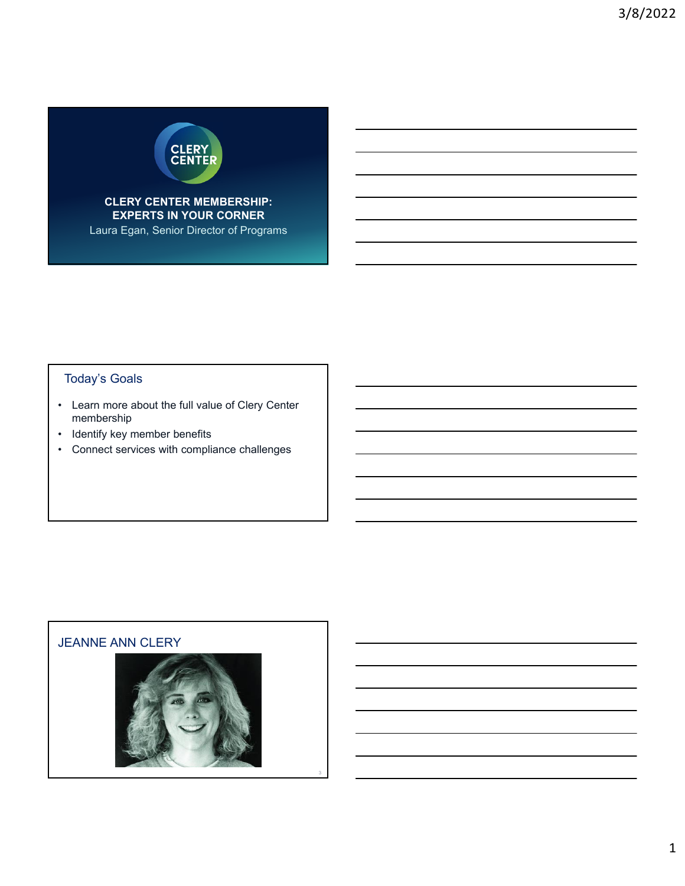

**CLERY CENTER MEMBERSHIP: EXPERTS IN YOUR CORNER**

Laura Egan, Senior Director of Programs

# Today's Goals

- Learn more about the full value of Clery Center membership
- Identify key member benefits
- Connect services with compliance challenges

### JEANNE ANN CLERY

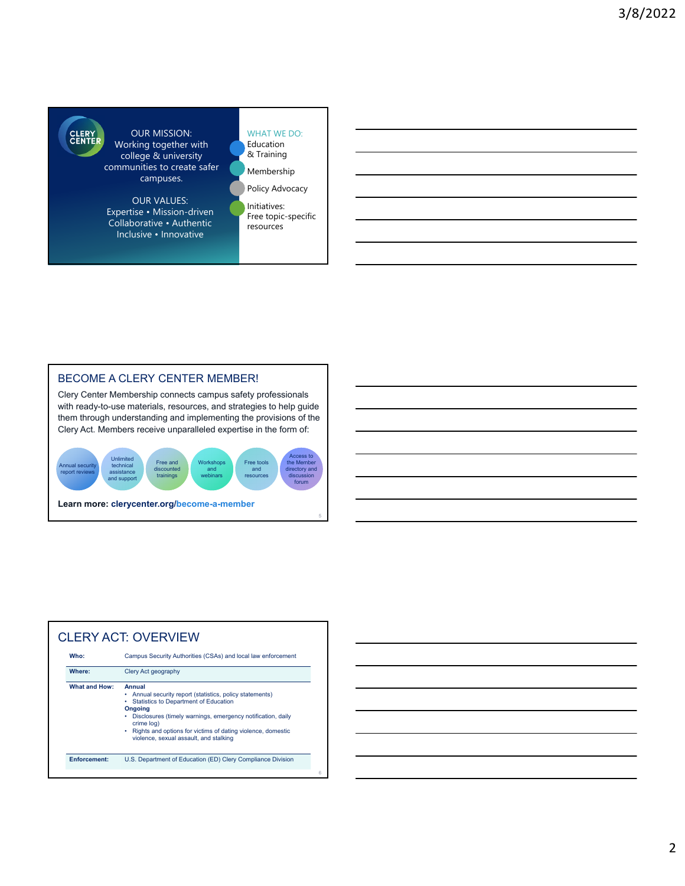

OUR MISSION: Working together with college & university communities to create safer campuses.

OUR VALUES: Expertise • Mission-driven Collaborative • Authentic Inclusive • Innovative

#### WHAT WE DO: Education

& Training Membership

Policy Advocacy Initiatives: Free topic-specific

resources

### BECOME A CLERY CENTER MEMBER!

Clery Center Membership connects campus safety professionals with ready-to-use materials, resources, and strategies to help guide them through understanding and implementing the provisions of the Clery Act. Members receive unparalleled expertise in the form of:



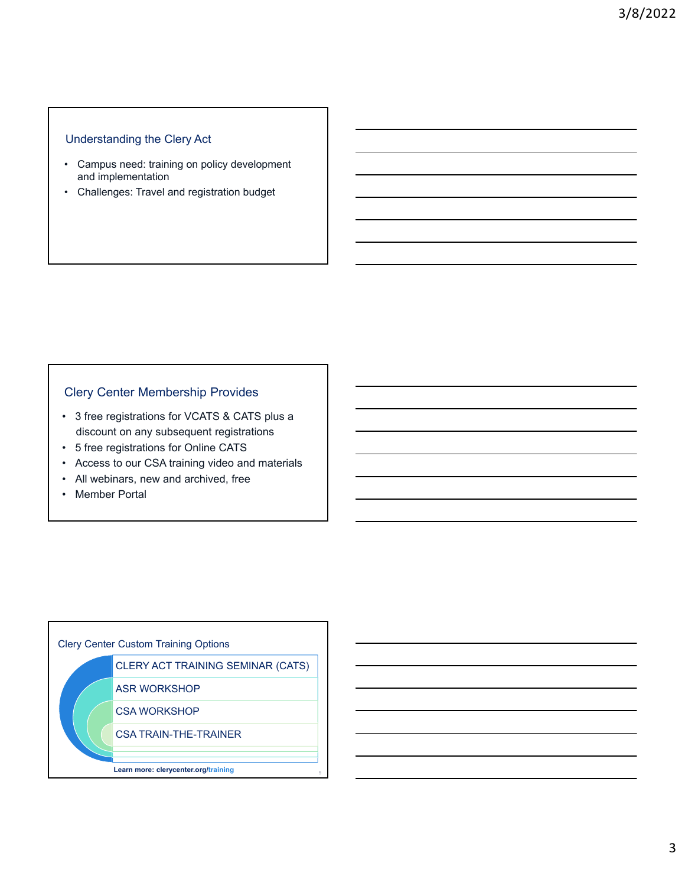### Understanding the Clery Act

- Campus need: training on policy development and implementation
- Challenges: Travel and registration budget

### Clery Center Membership Provides

- 3 free registrations for VCATS & CATS plus a discount on any subsequent registrations
- 5 free registrations for Online CATS
- Access to our CSA training video and materials
- All webinars, new and archived, free
- Member Portal

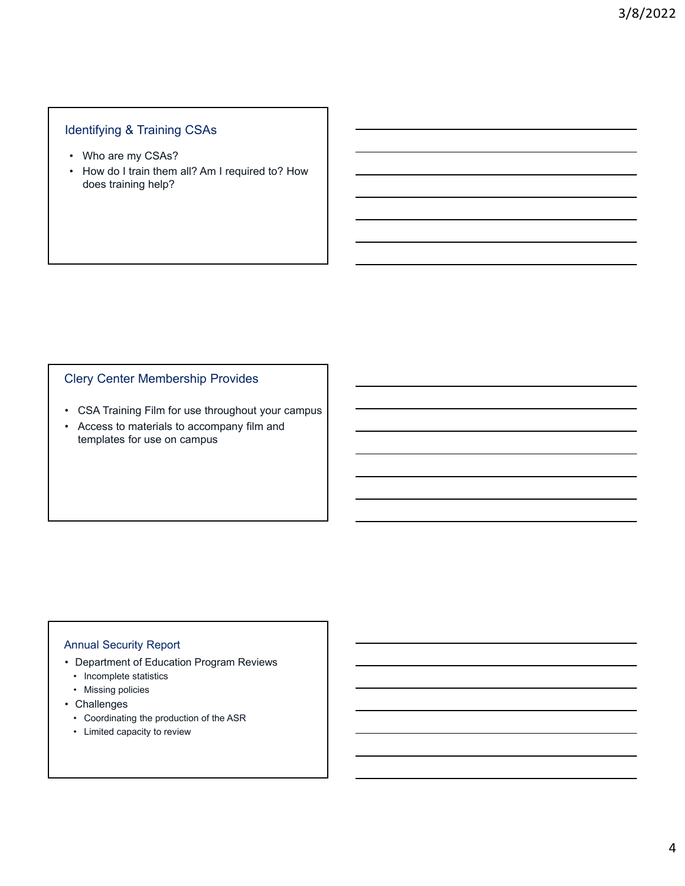# Identifying & Training CSAs

- Who are my CSAs?
- How do I train them all? Am I required to? How does training help?

# Clery Center Membership Provides

- CSA Training Film for use throughout your campus
- Access to materials to accompany film and templates for use on campus

### Annual Security Report

- Department of Education Program Reviews
	- Incomplete statistics
	- Missing policies
- Challenges
	- Coordinating the production of the ASR
	- Limited capacity to review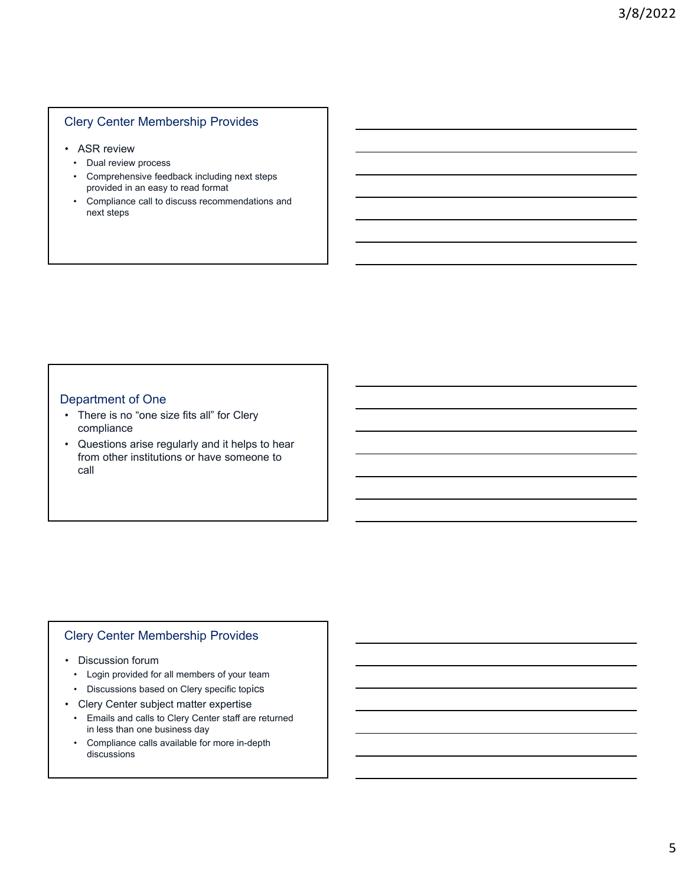### Clery Center Membership Provides

- ASR review
	- Dual review process
	- Comprehensive feedback including next steps provided in an easy to read format
	- Compliance call to discuss recommendations and next steps

### Department of One

- There is no "one size fits all" for Clery compliance
- Questions arise regularly and it helps to hear from other institutions or have someone to call

### Clery Center Membership Provides

- Discussion forum
	- Login provided for all members of your team
	- Discussions based on Clery specific topics
- Clery Center subject matter expertise
	- Emails and calls to Clery Center staff are returned in less than one business day
	- Compliance calls available for more in-depth discussions